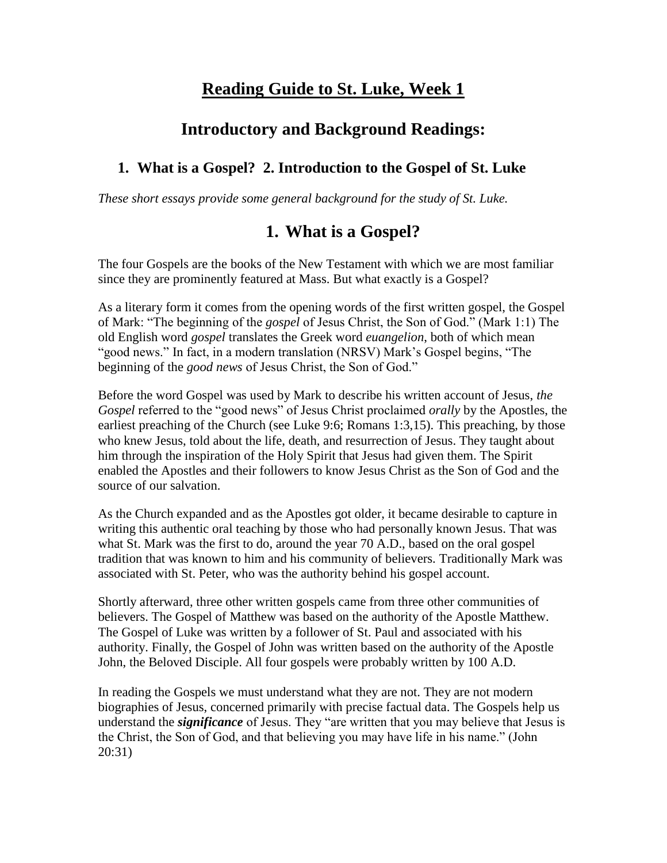# **Reading Guide to St. Luke, Week 1**

## **Introductory and Background Readings:**

### **1. What is a Gospel? 2. Introduction to the Gospel of St. Luke**

*These short essays provide some general background for the study of St. Luke.* 

### **1. What is a Gospel?**

The four Gospels are the books of the New Testament with which we are most familiar since they are prominently featured at Mass. But what exactly is a Gospel?

As a literary form it comes from the opening words of the first written gospel, the Gospel of Mark: "The beginning of the *gospel* of Jesus Christ, the Son of God." (Mark 1:1) The old English word *gospel* translates the Greek word *euangelion*, both of which mean "good news." In fact, in a modern translation (NRSV) Mark's Gospel begins, "The beginning of the *good news* of Jesus Christ, the Son of God."

Before the word Gospel was used by Mark to describe his written account of Jesus, *the Gospel* referred to the "good news" of Jesus Christ proclaimed *orally* by the Apostles, the earliest preaching of the Church (see Luke 9:6; Romans 1:3,15). This preaching, by those who knew Jesus, told about the life, death, and resurrection of Jesus. They taught about him through the inspiration of the Holy Spirit that Jesus had given them. The Spirit enabled the Apostles and their followers to know Jesus Christ as the Son of God and the source of our salvation.

As the Church expanded and as the Apostles got older, it became desirable to capture in writing this authentic oral teaching by those who had personally known Jesus. That was what St. Mark was the first to do, around the year 70 A.D., based on the oral gospel tradition that was known to him and his community of believers. Traditionally Mark was associated with St. Peter, who was the authority behind his gospel account.

Shortly afterward, three other written gospels came from three other communities of believers. The Gospel of Matthew was based on the authority of the Apostle Matthew. The Gospel of Luke was written by a follower of St. Paul and associated with his authority. Finally, the Gospel of John was written based on the authority of the Apostle John, the Beloved Disciple. All four gospels were probably written by 100 A.D.

In reading the Gospels we must understand what they are not. They are not modern biographies of Jesus, concerned primarily with precise factual data. The Gospels help us understand the *significance* of Jesus. They "are written that you may believe that Jesus is the Christ, the Son of God, and that believing you may have life in his name." (John 20:31)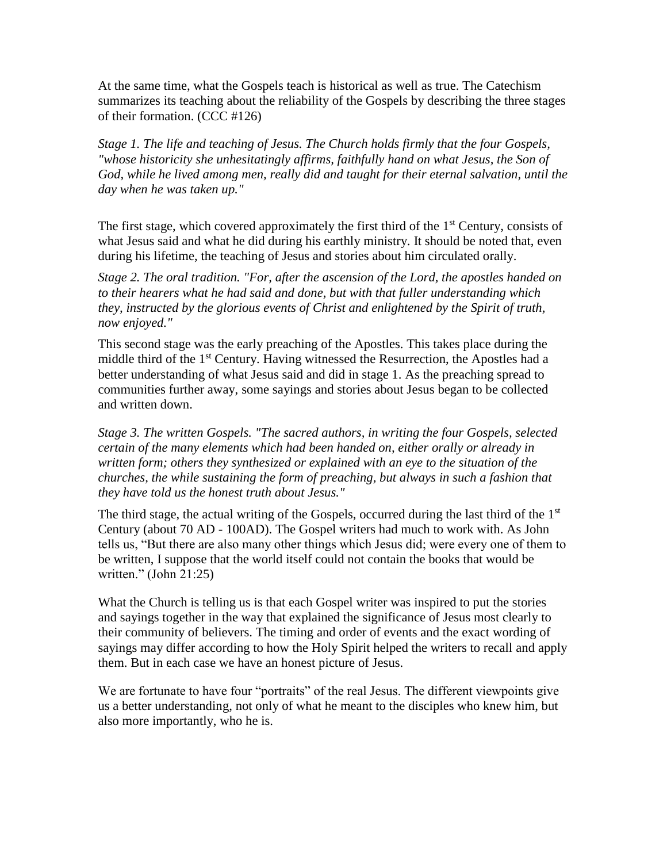At the same time, what the Gospels teach is historical as well as true. The Catechism summarizes its teaching about the reliability of the Gospels by describing the three stages of their formation. (CCC #126)

*Stage 1. The life and teaching of Jesus. The Church holds firmly that the four Gospels, "whose historicity she unhesitatingly affirms, faithfully hand on what Jesus, the Son of God, while he lived among men, really did and taught for their eternal salvation, until the day when he was taken up."*

The first stage, which covered approximately the first third of the  $1<sup>st</sup>$  Century, consists of what Jesus said and what he did during his earthly ministry. It should be noted that, even during his lifetime, the teaching of Jesus and stories about him circulated orally.

*Stage 2. The oral tradition. "For, after the ascension of the Lord, the apostles handed on to their hearers what he had said and done, but with that fuller understanding which they, instructed by the glorious events of Christ and enlightened by the Spirit of truth, now enjoyed."*

This second stage was the early preaching of the Apostles. This takes place during the middle third of the 1st Century. Having witnessed the Resurrection, the Apostles had a better understanding of what Jesus said and did in stage 1. As the preaching spread to communities further away, some sayings and stories about Jesus began to be collected and written down.

*Stage 3. The written Gospels. "The sacred authors, in writing the four Gospels, selected certain of the many elements which had been handed on, either orally or already in written form; others they synthesized or explained with an eye to the situation of the churches, the while sustaining the form of preaching, but always in such a fashion that they have told us the honest truth about Jesus."* 

The third stage, the actual writing of the Gospels, occurred during the last third of the 1<sup>st</sup> Century (about 70 AD - 100AD). The Gospel writers had much to work with. As John tells us, "But there are also many other things which Jesus did; were every one of them to be written, I suppose that the world itself could not contain the books that would be written." (John 21:25)

What the Church is telling us is that each Gospel writer was inspired to put the stories and sayings together in the way that explained the significance of Jesus most clearly to their community of believers. The timing and order of events and the exact wording of sayings may differ according to how the Holy Spirit helped the writers to recall and apply them. But in each case we have an honest picture of Jesus.

We are fortunate to have four "portraits" of the real Jesus. The different viewpoints give us a better understanding, not only of what he meant to the disciples who knew him, but also more importantly, who he is.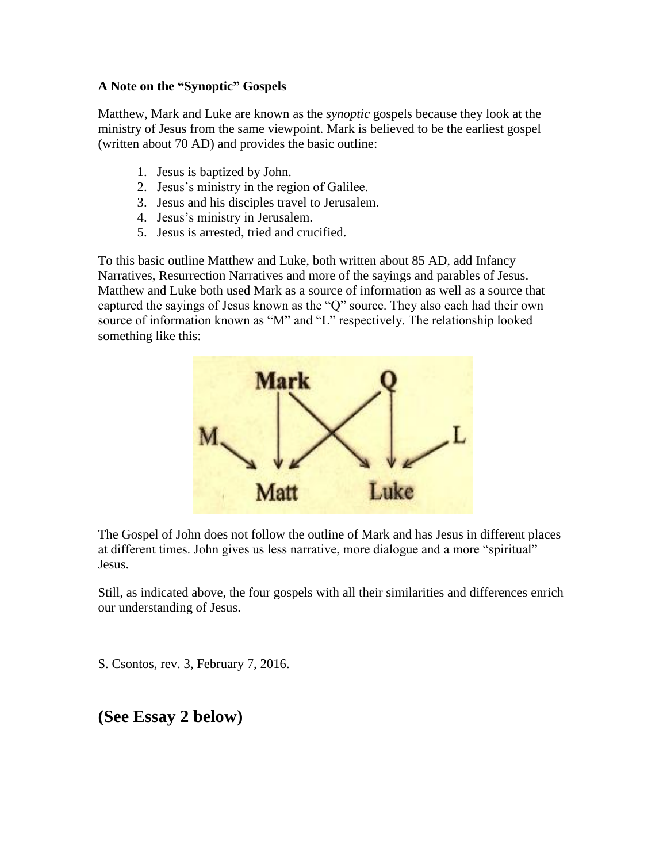#### **A Note on the "Synoptic" Gospels**

Matthew, Mark and Luke are known as the *synoptic* gospels because they look at the ministry of Jesus from the same viewpoint. Mark is believed to be the earliest gospel (written about 70 AD) and provides the basic outline:

- 1. Jesus is baptized by John.
- 2. Jesus's ministry in the region of Galilee.
- 3. Jesus and his disciples travel to Jerusalem.
- 4. Jesus's ministry in Jerusalem.
- 5. Jesus is arrested, tried and crucified.

To this basic outline Matthew and Luke, both written about 85 AD, add Infancy Narratives, Resurrection Narratives and more of the sayings and parables of Jesus. Matthew and Luke both used Mark as a source of information as well as a source that captured the sayings of Jesus known as the "Q" source. They also each had their own source of information known as "M" and "L" respectively. The relationship looked something like this:



The Gospel of John does not follow the outline of Mark and has Jesus in different places at different times. John gives us less narrative, more dialogue and a more "spiritual" Jesus.

Still, as indicated above, the four gospels with all their similarities and differences enrich our understanding of Jesus.

S. Csontos, rev. 3, February 7, 2016.

### **(See Essay 2 below)**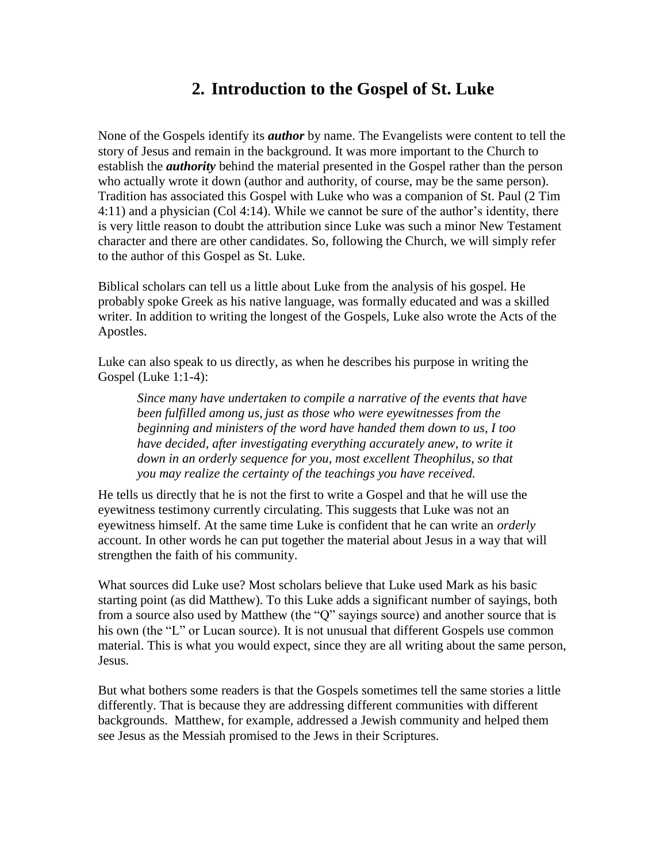## **2. Introduction to the Gospel of St. Luke**

None of the Gospels identify its *author* by name. The Evangelists were content to tell the story of Jesus and remain in the background. It was more important to the Church to establish the *authority* behind the material presented in the Gospel rather than the person who actually wrote it down (author and authority, of course, may be the same person). Tradition has associated this Gospel with Luke who was a companion of St. Paul (2 Tim 4:11) and a physician (Col 4:14). While we cannot be sure of the author's identity, there is very little reason to doubt the attribution since Luke was such a minor New Testament character and there are other candidates. So, following the Church, we will simply refer to the author of this Gospel as St. Luke.

Biblical scholars can tell us a little about Luke from the analysis of his gospel. He probably spoke Greek as his native language, was formally educated and was a skilled writer. In addition to writing the longest of the Gospels, Luke also wrote the Acts of the Apostles.

Luke can also speak to us directly, as when he describes his purpose in writing the Gospel (Luke 1:1-4):

*Since many have undertaken to compile a narrative of the events that have been fulfilled among us, just as those who were eyewitnesses from the beginning and ministers of the word have handed them down to us, I too have decided, after investigating everything accurately anew, to write it down in an orderly sequence for you, most excellent Theophilus, so that you may realize the certainty of the teachings you have received.* 

He tells us directly that he is not the first to write a Gospel and that he will use the eyewitness testimony currently circulating. This suggests that Luke was not an eyewitness himself. At the same time Luke is confident that he can write an *orderly* account. In other words he can put together the material about Jesus in a way that will strengthen the faith of his community.

What sources did Luke use? Most scholars believe that Luke used Mark as his basic starting point (as did Matthew). To this Luke adds a significant number of sayings, both from a source also used by Matthew (the "Q" sayings source) and another source that is his own (the "L" or Lucan source). It is not unusual that different Gospels use common material. This is what you would expect, since they are all writing about the same person, Jesus.

But what bothers some readers is that the Gospels sometimes tell the same stories a little differently. That is because they are addressing different communities with different backgrounds. Matthew, for example, addressed a Jewish community and helped them see Jesus as the Messiah promised to the Jews in their Scriptures.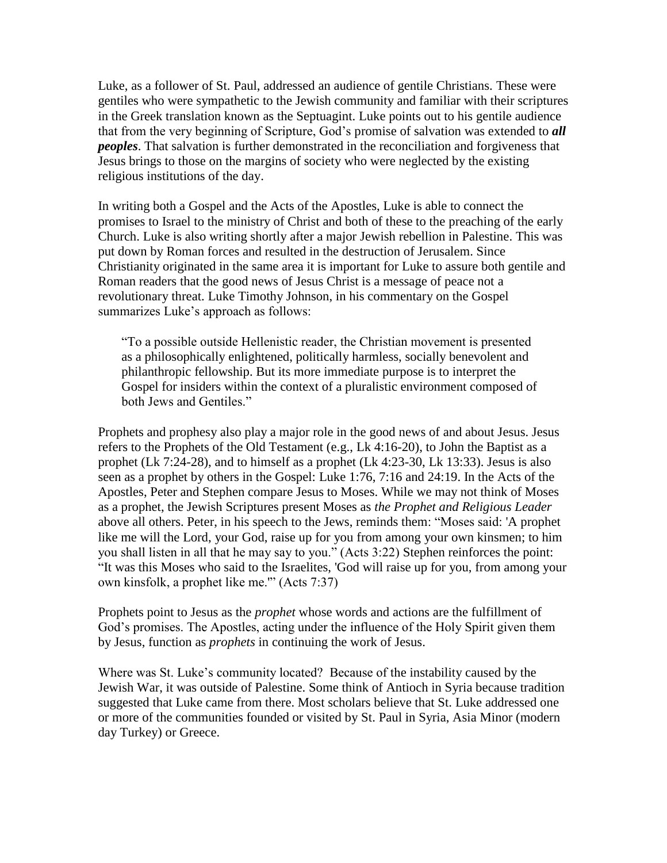Luke, as a follower of St. Paul, addressed an audience of gentile Christians. These were gentiles who were sympathetic to the Jewish community and familiar with their scriptures in the Greek translation known as the Septuagint. Luke points out to his gentile audience that from the very beginning of Scripture, God's promise of salvation was extended to *all peoples*. That salvation is further demonstrated in the reconciliation and forgiveness that Jesus brings to those on the margins of society who were neglected by the existing religious institutions of the day.

In writing both a Gospel and the Acts of the Apostles, Luke is able to connect the promises to Israel to the ministry of Christ and both of these to the preaching of the early Church. Luke is also writing shortly after a major Jewish rebellion in Palestine. This was put down by Roman forces and resulted in the destruction of Jerusalem. Since Christianity originated in the same area it is important for Luke to assure both gentile and Roman readers that the good news of Jesus Christ is a message of peace not a revolutionary threat. Luke Timothy Johnson, in his commentary on the Gospel summarizes Luke's approach as follows:

"To a possible outside Hellenistic reader, the Christian movement is presented as a philosophically enlightened, politically harmless, socially benevolent and philanthropic fellowship. But its more immediate purpose is to interpret the Gospel for insiders within the context of a pluralistic environment composed of both Jews and Gentiles."

Prophets and prophesy also play a major role in the good news of and about Jesus. Jesus refers to the Prophets of the Old Testament (e.g., Lk 4:16-20), to John the Baptist as a prophet (Lk 7:24-28), and to himself as a prophet (Lk 4:23-30, Lk 13:33). Jesus is also seen as a prophet by others in the Gospel: Luke 1:76, 7:16 and 24:19. In the Acts of the Apostles, Peter and Stephen compare Jesus to Moses. While we may not think of Moses as a prophet, the Jewish Scriptures present Moses as *the Prophet and Religious Leader* above all others. Peter, in his speech to the Jews, reminds them: "Moses said: 'A prophet like me will the Lord, your God, raise up for you from among your own kinsmen; to him you shall listen in all that he may say to you." (Acts 3:22) Stephen reinforces the point: "It was this Moses who said to the Israelites, 'God will raise up for you, from among your own kinsfolk, a prophet like me.'" (Acts 7:37)

Prophets point to Jesus as the *prophet* whose words and actions are the fulfillment of God's promises. The Apostles, acting under the influence of the Holy Spirit given them by Jesus, function as *prophets* in continuing the work of Jesus.

Where was St. Luke's community located? Because of the instability caused by the Jewish War, it was outside of Palestine. Some think of Antioch in Syria because tradition suggested that Luke came from there. Most scholars believe that St. Luke addressed one or more of the communities founded or visited by St. Paul in Syria, Asia Minor (modern day Turkey) or Greece.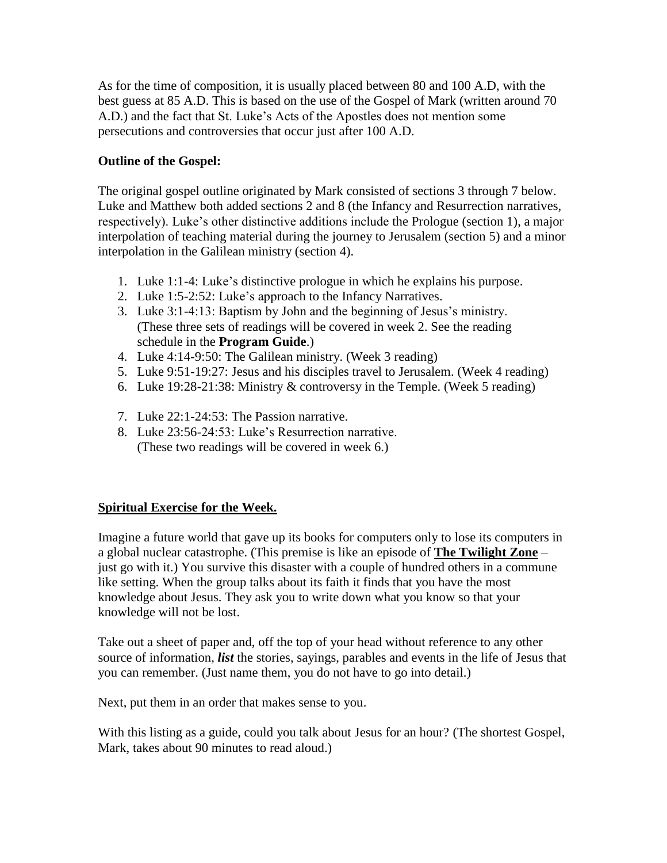As for the time of composition, it is usually placed between 80 and 100 A.D, with the best guess at 85 A.D. This is based on the use of the Gospel of Mark (written around 70 A.D.) and the fact that St. Luke's Acts of the Apostles does not mention some persecutions and controversies that occur just after 100 A.D.

#### **Outline of the Gospel:**

The original gospel outline originated by Mark consisted of sections 3 through 7 below. Luke and Matthew both added sections 2 and 8 (the Infancy and Resurrection narratives, respectively). Luke's other distinctive additions include the Prologue (section 1), a major interpolation of teaching material during the journey to Jerusalem (section 5) and a minor interpolation in the Galilean ministry (section 4).

- 1. Luke 1:1-4: Luke's distinctive prologue in which he explains his purpose.
- 2. Luke 1:5-2:52: Luke's approach to the Infancy Narratives.
- 3. Luke 3:1-4:13: Baptism by John and the beginning of Jesus's ministry. (These three sets of readings will be covered in week 2. See the reading schedule in the **Program Guide**.)
- 4. Luke 4:14-9:50: The Galilean ministry. (Week 3 reading)
- 5. Luke 9:51-19:27: Jesus and his disciples travel to Jerusalem. (Week 4 reading)
- 6. Luke 19:28-21:38: Ministry & controversy in the Temple. (Week 5 reading)
- 7. Luke 22:1-24:53: The Passion narrative.
- 8. Luke 23:56-24:53: Luke's Resurrection narrative. (These two readings will be covered in week 6.)

### **Spiritual Exercise for the Week.**

Imagine a future world that gave up its books for computers only to lose its computers in a global nuclear catastrophe. (This premise is like an episode of **The Twilight Zone** – just go with it.) You survive this disaster with a couple of hundred others in a commune like setting. When the group talks about its faith it finds that you have the most knowledge about Jesus. They ask you to write down what you know so that your knowledge will not be lost.

Take out a sheet of paper and, off the top of your head without reference to any other source of information, *list* the stories, sayings, parables and events in the life of Jesus that you can remember. (Just name them, you do not have to go into detail.)

Next, put them in an order that makes sense to you.

With this listing as a guide, could you talk about Jesus for an hour? (The shortest Gospel, Mark, takes about 90 minutes to read aloud.)